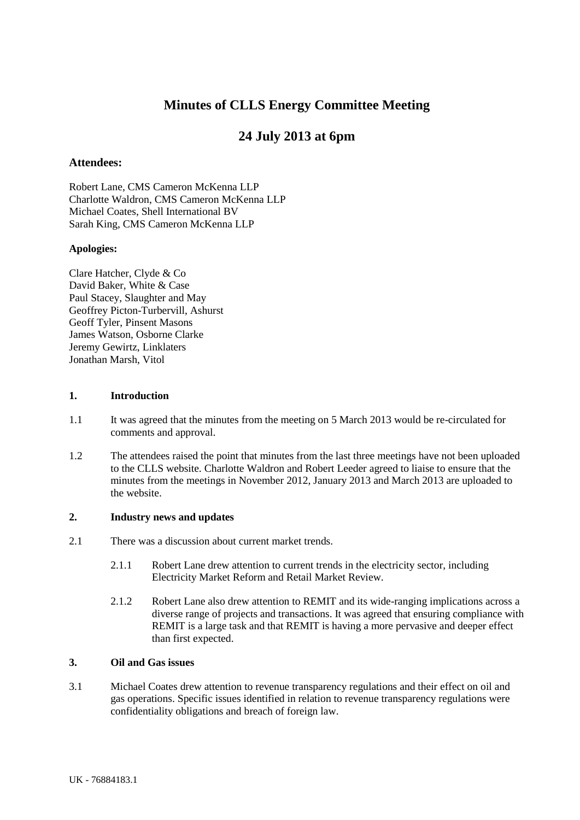## **Minutes of CLLS Energy Committee Meeting**

# **24 July 2013 at 6pm**

## **Attendees:**

Robert Lane, CMS Cameron McKenna LLP Charlotte Waldron, CMS Cameron McKenna LLP Michael Coates, Shell International BV Sarah King, CMS Cameron McKenna LLP

## **Apologies:**

Clare Hatcher, Clyde & Co David Baker, White & Case Paul Stacey, Slaughter and May Geoffrey Picton-Turbervill, Ashurst Geoff Tyler, Pinsent Masons James Watson, Osborne Clarke Jeremy Gewirtz, Linklaters Jonathan Marsh, Vitol

#### **1. Introduction**

- 1.1 It was agreed that the minutes from the meeting on 5 March 2013 would be re-circulated for comments and approval.
- 1.2 The attendees raised the point that minutes from the last three meetings have not been uploaded to the CLLS website. Charlotte Waldron and Robert Leeder agreed to liaise to ensure that the minutes from the meetings in November 2012, January 2013 and March 2013 are uploaded to the website.

#### **2. Industry news and updates**

- 2.1 There was a discussion about current market trends.
	- 2.1.1 Robert Lane drew attention to current trends in the electricity sector, including Electricity Market Reform and Retail Market Review.
	- 2.1.2 Robert Lane also drew attention to REMIT and its wide-ranging implications across a diverse range of projects and transactions. It was agreed that ensuring compliance with REMIT is a large task and that REMIT is having a more pervasive and deeper effect than first expected.

#### **3. Oil and Gas issues**

3.1 Michael Coates drew attention to revenue transparency regulations and their effect on oil and gas operations. Specific issues identified in relation to revenue transparency regulations were confidentiality obligations and breach of foreign law.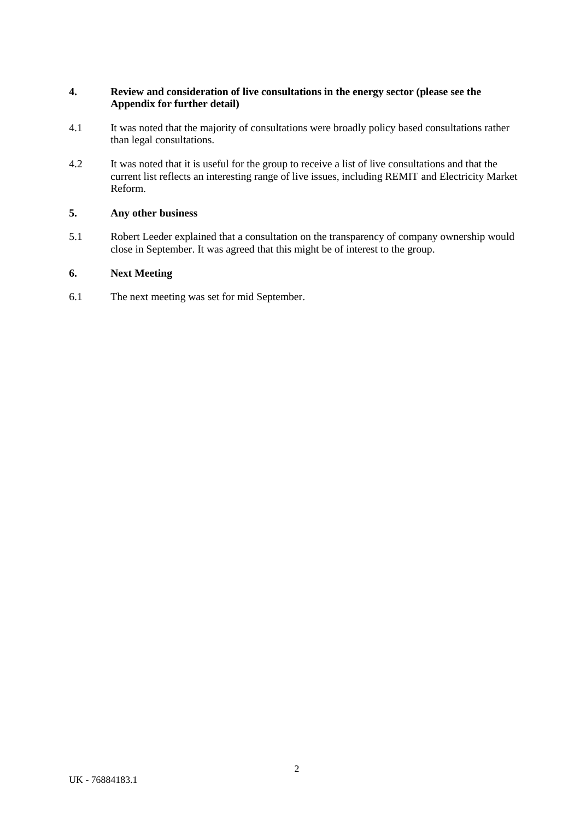## **4. Review and consideration of live consultations in the energy sector (please see the Appendix for further detail)**

- 4.1 It was noted that the majority of consultations were broadly policy based consultations rather than legal consultations.
- 4.2 It was noted that it is useful for the group to receive a list of live consultations and that the current list reflects an interesting range of live issues, including REMIT and Electricity Market Reform.

## **5. Any other business**

5.1 Robert Leeder explained that a consultation on the transparency of company ownership would close in September. It was agreed that this might be of interest to the group.

## **6. Next Meeting**

6.1 The next meeting was set for mid September.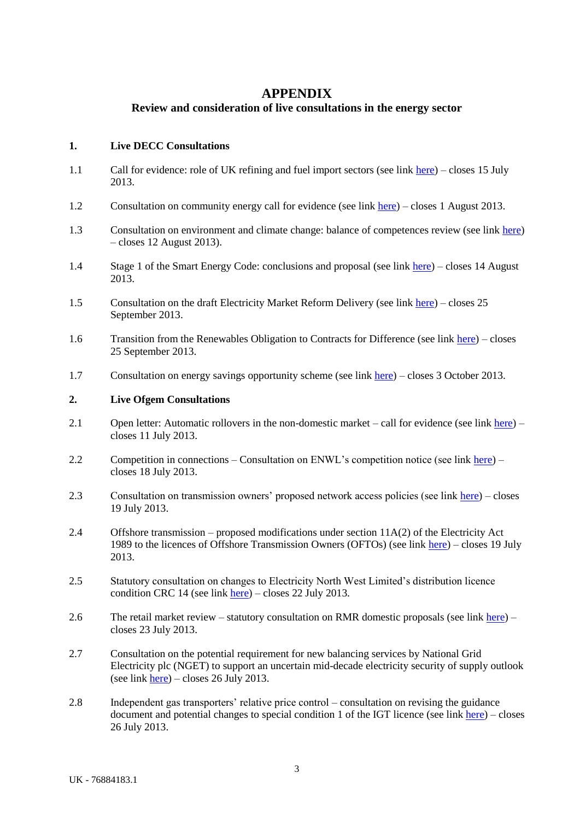## **APPENDIX**

## **Review and consideration of live consultations in the energy sector**

#### **1. Live DECC Consultations**

- 1.1 Call for evidence: role of UK refining and fuel import sectors (see link here) closes 15 July 2013.
- 1.2 Consultation on community energy call for evidence (see link here) closes 1 August 2013.
- 1.3 Consultation on environment and climate change: balance of competences review (see link here) – closes 12 August 2013).
- 1.4 Stage 1 of the Smart Energy Code: conclusions and proposal (see link here) closes 14 August 2013.
- 1.5 Consultation on the draft Electricity Market Reform Delivery (see link here) closes 25 September 2013.
- 1.6 Transition from the Renewables Obligation to Contracts for Difference (see link here) closes 25 September 2013.
- 1.7 Consultation on energy savings opportunity scheme (see link here) closes 3 October 2013.

#### **2. Live Ofgem Consultations**

- 2.1 Open letter: Automatic rollovers in the non-domestic market call for evidence (see link here) closes 11 July 2013.
- 2.2 Competition in connections Consultation on ENWL's competition notice (see link here) closes 18 July 2013.
- 2.3 Consultation on transmission owners' proposed network access policies (see link here) closes 19 July 2013.
- 2.4 Offshore transmission proposed modifications under section 11A(2) of the Electricity Act 1989 to the licences of Offshore Transmission Owners (OFTOs) (see link here) – closes 19 July 2013.
- 2.5 Statutory consultation on changes to Electricity North West Limited's distribution licence condition CRC 14 (see link here) – closes 22 July 2013.
- 2.6 The retail market review statutory consultation on RMR domestic proposals (see link here) closes 23 July 2013.
- 2.7 Consultation on the potential requirement for new balancing services by National Grid Electricity plc (NGET) to support an uncertain mid-decade electricity security of supply outlook (see link here) – closes 26 July 2013.
- 2.8 Independent gas transporters' relative price control consultation on revising the guidance document and potential changes to special condition 1 of the IGT licence (see link  $here$ ) – closes 26 July 2013.